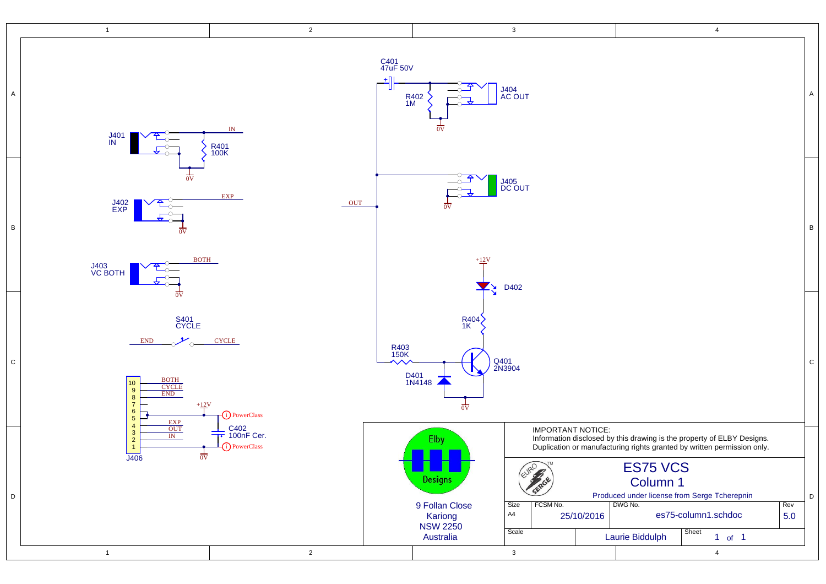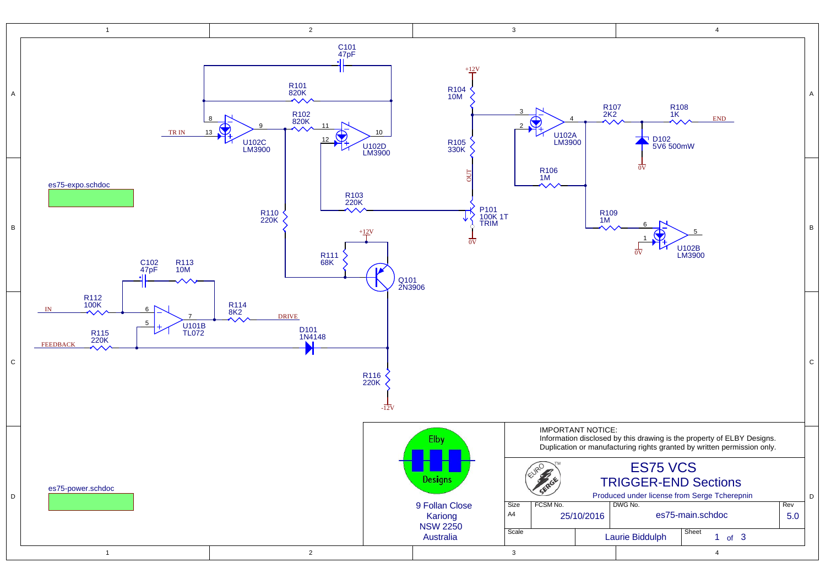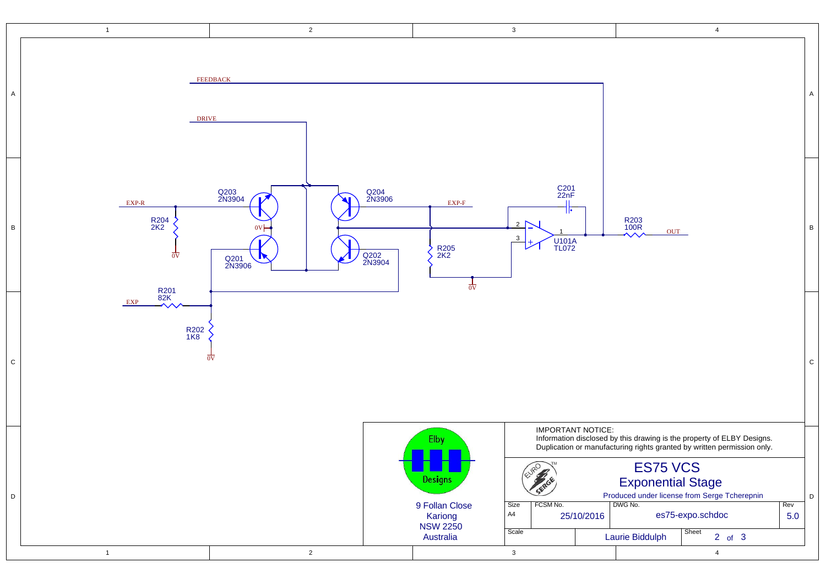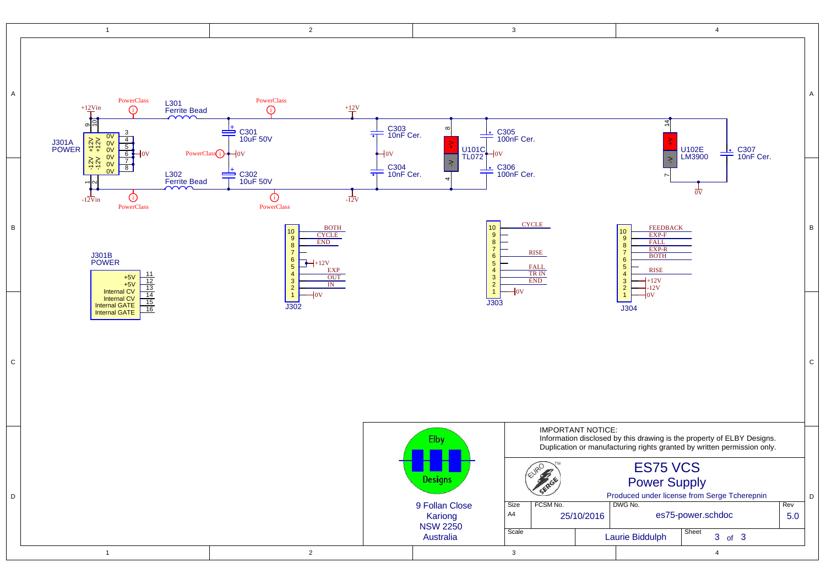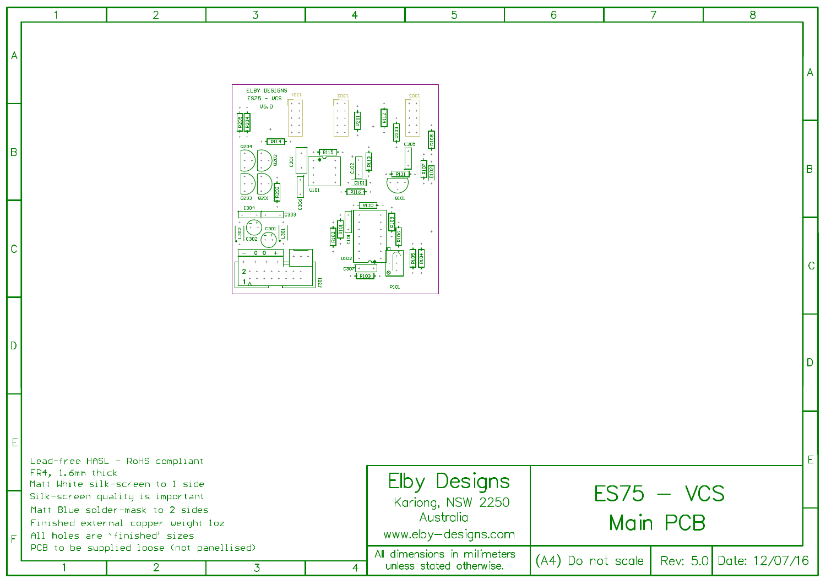|    |                  | $\overline{2}$                                                                                                                                         | 3                                                      | 4                                         |                                                 | 5                                                                                  | 6                   | $\overline{7}$ | 8                       |                                            |
|----|------------------|--------------------------------------------------------------------------------------------------------------------------------------------------------|--------------------------------------------------------|-------------------------------------------|-------------------------------------------------|------------------------------------------------------------------------------------|---------------------|----------------|-------------------------|--------------------------------------------|
| A  |                  |                                                                                                                                                        | ELBY DESIGNS<br>1304<br>$ES75 - UCS$<br>$0$<br>$+$ $+$ | EOST                                      |                                                 | <b>J302</b><br>$+ - +$                                                             |                     |                |                         | A                                          |
| B  |                  |                                                                                                                                                        | ह्याङ<br>$-R114$<br>0204<br>0203<br>C30 <sup>4</sup>   | D101<br>U101<br>$\sqrt{R116}$<br>$-$ R110 | $\frac{1}{2}$<br>R111<br>$\sim 10^{-1}$<br>Q101 | C305<br>$\frac{1}{\frac{1}{\frac{1}{\frac{1}{\frac{1}{\cdots}}}}\frac{1}{\cdots}}$ |                     |                |                         | B                                          |
| C  |                  |                                                                                                                                                        | $\Omega$                                               | U102<br>C30                               | P101                                            |                                                                                    |                     |                |                         | $\mathsf{C}$                               |
| D  |                  |                                                                                                                                                        |                                                        |                                           |                                                 |                                                                                    |                     |                |                         | D                                          |
|    | FR4, 1.6mm thick | Lead-free HASL - RoHS compliant<br>Matt White silk-screen to 1 side<br>Silk-screen quality is important                                                |                                                        |                                           |                                                 | Elby Designs<br>Kariong, NSW 2250                                                  |                     | $ES75 - VCS$   |                         | $\mathsf{E}% _{0}\left( \mathsf{E}\right)$ |
| F. |                  | Matt Blue solder-mask to 2 sides<br>Finished external copper weight 1oz<br>All holes are `finished' sizes<br>PCB to be supplied loose (not panellised) |                                                        |                                           |                                                 | Australia<br>www.elby-designs.com<br>All dimensions in millimeters                 |                     | Main PCB       |                         |                                            |
|    | $\overline{1}$   | $\overline{2}$                                                                                                                                         | $\overline{3}$                                         | $\overline{4}$                            |                                                 | unless stated otherwise.                                                           | $(A4)$ Do not scale |                | Rev: 5.0 Date: 12/07/16 |                                            |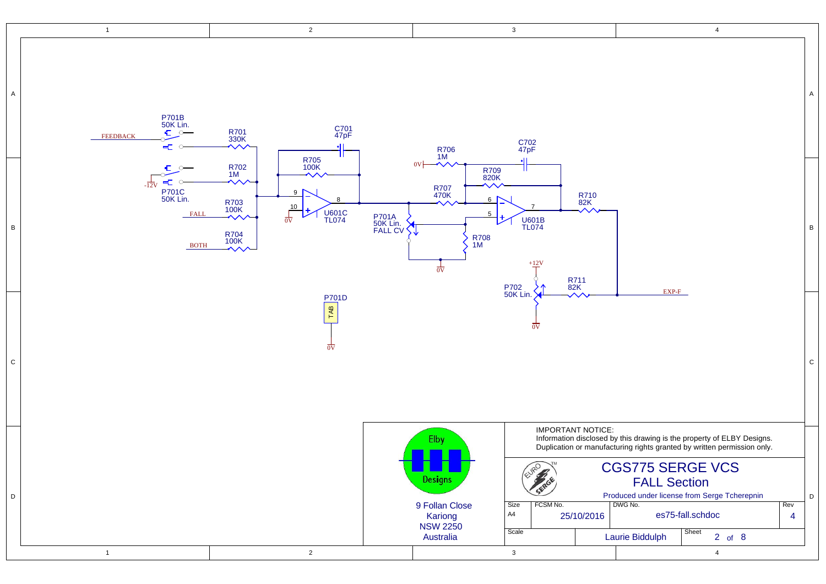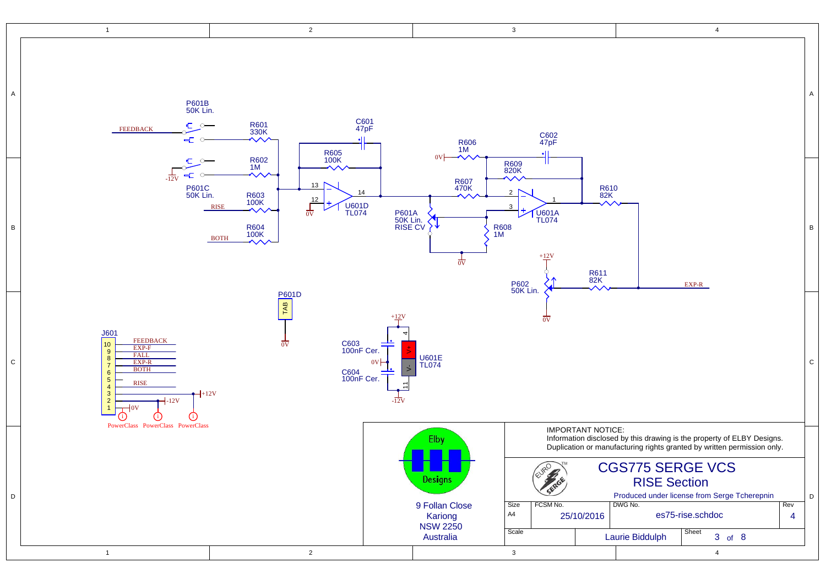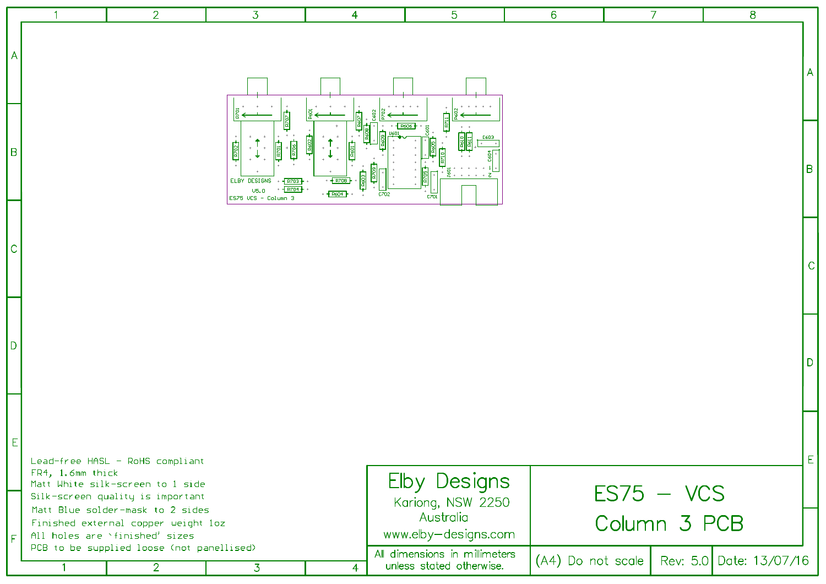|     |                  | $\overline{2}$                                                                                                                                                                                                                                   | $\overline{3}$                                                                     | $\overline{4}$ | 5                                                                                                                                          | 6                   | 7                            | 8                       |
|-----|------------------|--------------------------------------------------------------------------------------------------------------------------------------------------------------------------------------------------------------------------------------------------|------------------------------------------------------------------------------------|----------------|--------------------------------------------------------------------------------------------------------------------------------------------|---------------------|------------------------------|-------------------------|
| A   |                  |                                                                                                                                                                                                                                                  |                                                                                    |                |                                                                                                                                            |                     |                              |                         |
| Iв  |                  |                                                                                                                                                                                                                                                  | ELBY DESIGNS<br>$R^{703}$<br>$-$ RZ04<br>$\overline{v}$ 5.0<br>ES75 VCS - Column 3 | R604<br>C702   | C701                                                                                                                                       |                     |                              | В                       |
| C   |                  |                                                                                                                                                                                                                                                  |                                                                                    |                |                                                                                                                                            |                     |                              |                         |
| ID. |                  |                                                                                                                                                                                                                                                  |                                                                                    |                |                                                                                                                                            |                     |                              |                         |
| E.  | FR4, 1.6mm thick | Lead-free HASL - RoHS compliant                                                                                                                                                                                                                  |                                                                                    |                |                                                                                                                                            |                     |                              | E                       |
| IF  | $\mathbf{1}$     | Matt White silk-screen to 1 side<br>Silk-screen quality is important<br>Matt Blue solder-mask to 2 sides<br>Finished external copper weight loz<br>All holes are `finished' sizes<br>PCB to be supplied loose (not panellised)<br>$\overline{2}$ | $\overline{3}$                                                                     | $\overline{4}$ | <b>Elby Designs</b><br>Kariong, NSW 2250<br>Australia<br>www.elby-designs.com<br>All dimensions in millimeters<br>unless stated otherwise. | $(A4)$ Do not scale | $ES75 - VCS$<br>Column 3 PCB | Rev: 5.0 Date: 13/07/16 |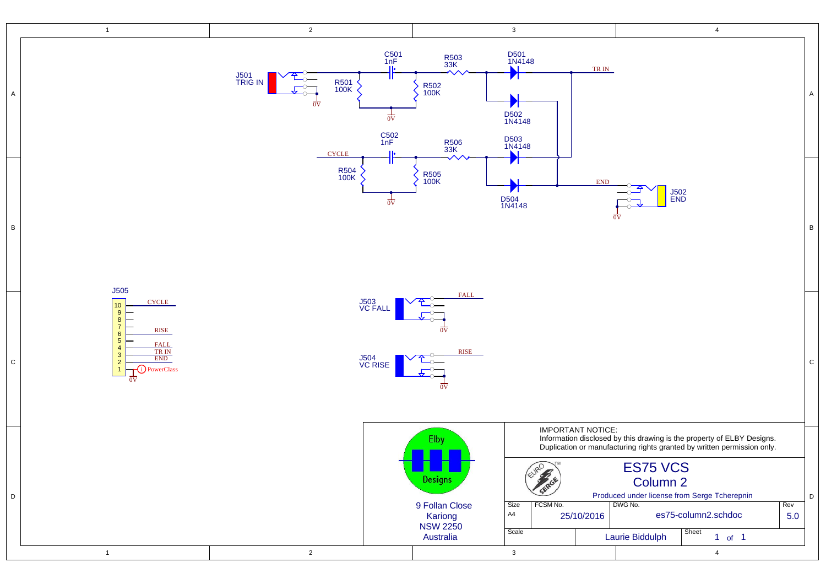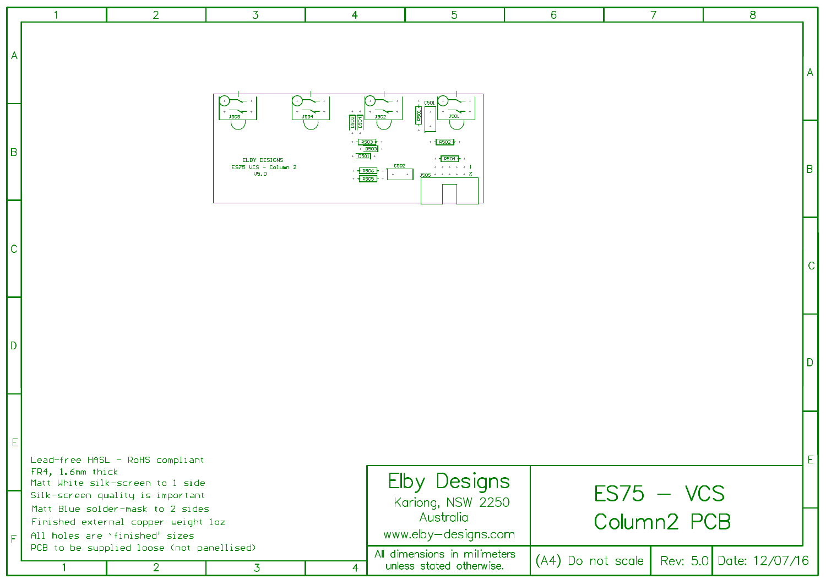|              |                  | $\overline{2}$                                                                                                                                                                     | 3                                                          | 4                                                                                                                   | 5                                                                                 | 6                   | $\overline{7}$              | 8                       |
|--------------|------------------|------------------------------------------------------------------------------------------------------------------------------------------------------------------------------------|------------------------------------------------------------|---------------------------------------------------------------------------------------------------------------------|-----------------------------------------------------------------------------------|---------------------|-----------------------------|-------------------------|
| A            |                  |                                                                                                                                                                                    | <b>J503</b>                                                | <b>J504</b><br><b>J502</b>                                                                                          | C50<br>J501                                                                       |                     |                             | A                       |
| lв           |                  |                                                                                                                                                                                    | ELBY DESIGNS<br>$ES75$ VCS - Column 2<br>$\overline{05.0}$ | R503<br>$+$ D503<br>DSO1<br>C502<br>$\leftarrow$ R506<br>$\alpha$ .<br><br>:<br><br>:<br>:<br>:<br><br><br><br><br> | R502<br>$R504 \div$<br>. 1<br>$J505 + + + + + Z$                                  |                     |                             | B                       |
| $\mathsf{C}$ |                  |                                                                                                                                                                                    |                                                            |                                                                                                                     |                                                                                   |                     |                             | С                       |
| D)           |                  |                                                                                                                                                                                    |                                                            |                                                                                                                     |                                                                                   |                     |                             | D                       |
| E.           | FR4, 1.6mm thick | Lead-free HASL - RoHS compliant<br>Matt White silk-screen to 1 side<br>Silk-screen quality is important<br>Matt Blue solder-mask to 2 sides<br>Finished external copper weight loz |                                                            |                                                                                                                     | <b>Elby Designs</b><br>Kariong, NSW 2250<br>Australia                             |                     | $ES75 - VCS$<br>Column2 PCB | E                       |
| l F          | $\mathbf{1}$     | All holes are `finished' sizes<br>PCB to be supplied loose (not panellised)<br>$\overline{2}$                                                                                      | $\overline{3}$                                             | $\overline{4}$                                                                                                      | www.elby-designs.com<br>All dimensions in millimeters<br>unless stated otherwise. | $(A4)$ Do not scale |                             | Rev: 5.0 Date: 12/07/16 |